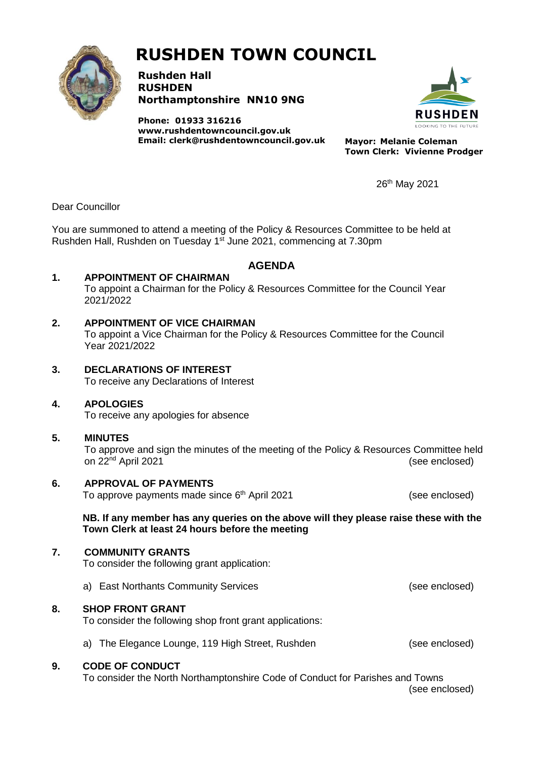

# **RUSHDEN TOWN COUNCIL**

**Rushden Hall RUSHDEN Northamptonshire NN10 9NG**

**Phone: 01933 316216 [www.rushdentowncouncil.gov.uk](http://www.rushdentowncouncil.gov.uk/) Email: clerk@rushdentowncouncil.gov.uk Mayor: Melanie Coleman**



**Town Clerk: Vivienne Prodger**

26th May 2021

Dear Councillor

You are summoned to attend a meeting of the Policy & Resources Committee to be held at Rushden Hall, Rushden on Tuesday 1<sup>st</sup> June 2021, commencing at 7.30pm

## **AGENDA**

**1. APPOINTMENT OF CHAIRMAN**

To appoint a Chairman for the Policy & Resources Committee for the Council Year 2021/2022

## **2. APPOINTMENT OF VICE CHAIRMAN**

To appoint a Vice Chairman for the Policy & Resources Committee for the Council Year 2021/2022

**3. DECLARATIONS OF INTEREST** To receive any Declarations of Interest

## **4. APOLOGIES**

To receive any apologies for absence

## **5. MINUTES**

To approve and sign the minutes of the meeting of the Policy & Resources Committee held on 22<sup>nd</sup> April 2021 (see enclosed)

**6. APPROVAL OF PAYMENTS** To approve payments made since 6<sup>th</sup> April 2021 (see enclosed)

**NB. If any member has any queries on the above will they please raise these with the Town Clerk at least 24 hours before the meeting**

## **7. COMMUNITY GRANTS**

To consider the following grant application:

a) East Northants Community Services (see enclosed)

## **8. SHOP FRONT GRANT**

To consider the following shop front grant applications:

a) The Elegance Lounge, 119 High Street, Rushden (see enclosed)

## **9. CODE OF CONDUCT**

To consider the North Northamptonshire Code of Conduct for Parishes and Towns

(see enclosed)